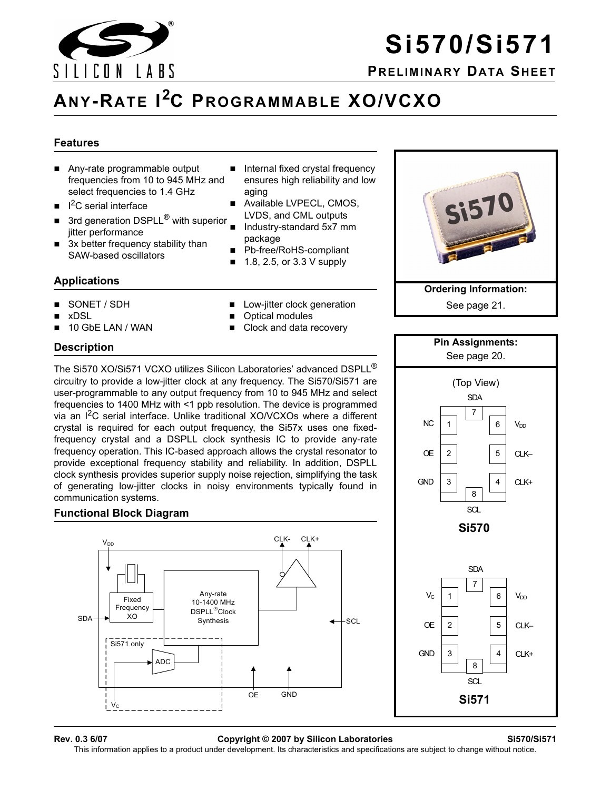

# **Si570/Si571**

**PRELIMINARY DATA SHEET**

## **ANY-RATE I2C PROGRAMMABLE XO/VCXO**

#### **Features**

- Any-rate programmable output frequencies from 10 to 945 MHz and select frequencies to 1.4 GHz
- $\blacksquare$  I<sup>2</sup>C serial interface
- 3rd generation DSPLL<sup>®</sup> with superior jitter performance
- 3x better frequency stability than SAW-based oscillators
- Internal fixed crystal frequency ensures high reliability and low aging
- Available LVPECL, CMOS, LVDS, and CML outputs
- Industry-standard 5x7 mm package
- Pb-free/RoHS-compliant
- $\blacksquare$  1.8, 2.5, or 3.3 V supply

#### **Applications**

- SONET / SDH
- xDSL
- 10 GbE LAN / WAN

#### <span id="page-0-0"></span>**Description**

- **Low-jitter clock generation**
- Optical modules
- Clock and data recovery

The Si570 XO/Si571 VCXO utilizes Silicon Laboratories' advanced DSPLL® circuitry to provide a low-jitter clock at any frequency. The Si570/Si571 are user-programmable to any output frequency from 10 to 945 MHz and select frequencies to 1400 MHz with <1 ppb resolution. The device is programmed via an  $I^2C$  serial interface. Unlike traditional XO/VCXOs where a different crystal is required for each output frequency, the Si57x uses one fixedfrequency crystal and a DSPLL clock synthesis IC to provide any-rate frequency operation. This IC-based approach allows the crystal resonator to provide exceptional frequency stability and reliability. In addition, DSPLL clock synthesis provides superior supply noise rejection, simplifying the task of generating low-jitter clocks in noisy environments typically found in communication systems.

#### **Functional Block Diagram**







#### **Rev. 0.3 6/07 Copyright © 2007 by Silicon Laboratories Si570/Si571** This information applies to a product under development. Its characteristics and specifications are subject to change without notice.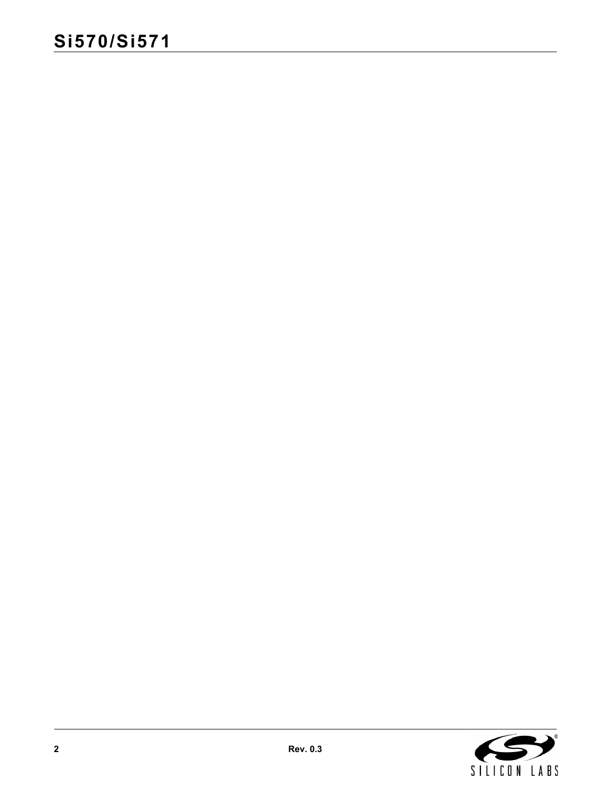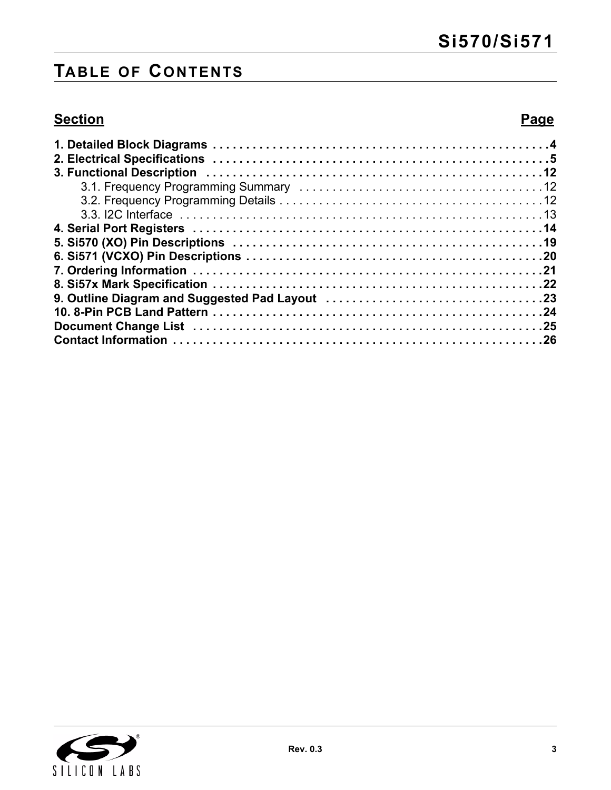### **TABLE OF CONTENTS**

### **Section Page**

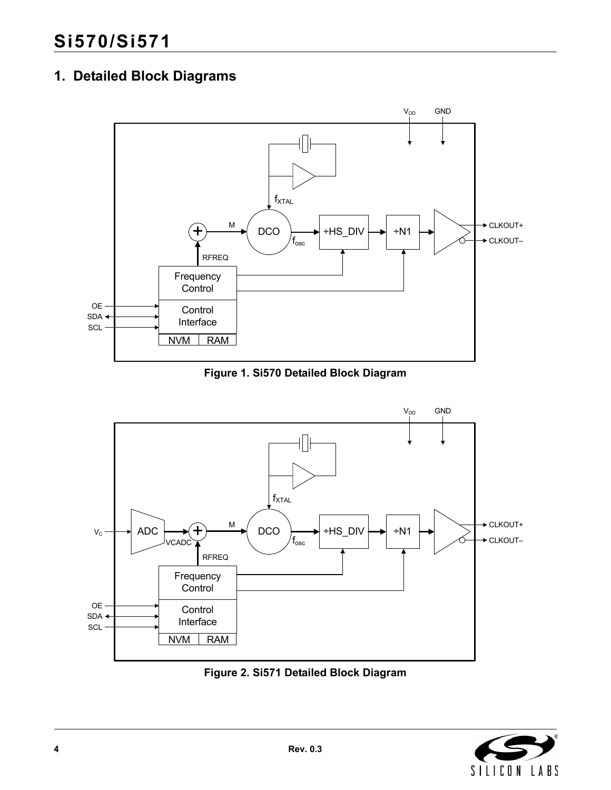### <span id="page-3-0"></span>**1. Detailed Block Diagrams**







**Figure 2. Si571 Detailed Block Diagram**

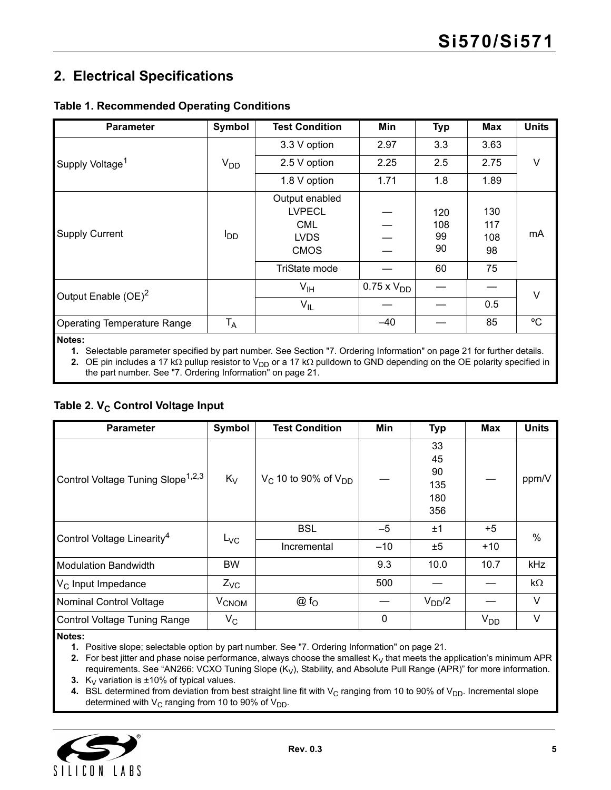### <span id="page-4-0"></span>**2. Electrical Specifications**

| <b>Parameter</b>                   | Symbol          | <b>Test Condition</b> | Min                  | <b>Typ</b> | <b>Max</b> | <b>Units</b> |
|------------------------------------|-----------------|-----------------------|----------------------|------------|------------|--------------|
|                                    |                 | 3.3 V option          | 2.97                 | 3.3        | 3.63       |              |
| Supply Voltage <sup>1</sup>        | V <sub>DD</sub> | 2.5 V option          | 2.25                 | 2.5        | 2.75       | $\vee$       |
|                                    |                 | 1.8 V option          | 1.71                 | 1.8        | 1.89       |              |
|                                    |                 | Output enabled        |                      |            |            |              |
|                                    |                 | <b>LVPECL</b>         |                      | 120        | 130        |              |
|                                    | OD              | <b>CML</b>            |                      | 108        | 117        | mA           |
| <b>Supply Current</b>              |                 | <b>LVDS</b>           |                      | 99         | 108        |              |
|                                    |                 | <b>CMOS</b>           |                      | 90         | 98         |              |
|                                    |                 | TriState mode         |                      | 60         | 75         |              |
| Output Enable $(OE)^2$             |                 | $V_{\text{IH}}$       | $0.75 \times V_{DD}$ |            |            | $\vee$       |
|                                    |                 | $V_{IL}$              |                      |            | 0.5        |              |
| <b>Operating Temperature Range</b> | $T_A$           |                       | $-40$                |            | 85         | °C           |
| Notes:                             |                 |                       |                      |            |            |              |

#### <span id="page-4-1"></span>**Table 1. Recommended Operating Conditions**

**1.** Selectable parameter specified by part number. See Section ["7. Ordering Information" on page 21](#page-20-0) for further details.

**2.** OE pin includes a 17 kΩ pullup resistor to V<sub>DD</sub> or a 17 kΩ pulldown to GND depending on the OE polarity specified in the part number. See ["7. Ordering Information" on page 21](#page-20-0).

#### <span id="page-4-2"></span>**Table 2. V<sub>C</sub> Control Voltage Input**

| <b>Parameter</b>                              | <b>Symbol</b>     | <b>Test Condition</b>       | Min   | <b>Typ</b>                          | <b>Max</b> | <b>Units</b> |
|-----------------------------------------------|-------------------|-----------------------------|-------|-------------------------------------|------------|--------------|
| Control Voltage Tuning Slope <sup>1,2,3</sup> | $K_V$             | $V_C$ 10 to 90% of $V_{DD}$ |       | 33<br>45<br>90<br>135<br>180<br>356 |            | ppm/V        |
| Control Voltage Linearity <sup>4</sup>        | $L_{\text{VC}}$   | <b>BSL</b>                  | $-5$  | ±1                                  | $+5$       | %            |
|                                               |                   | Incremental                 | $-10$ | ±5                                  | $+10$      |              |
| <b>Modulation Bandwidth</b>                   | <b>BW</b>         |                             | 9.3   | 10.0                                | 10.7       | kHz          |
| $VC$ Input Impedance                          | $Z_{\text{VC}}$   |                             | 500   |                                     |            | kΩ           |
| Nominal Control Voltage                       | V <sub>CNOM</sub> | $\circledR$ f <sub>O</sub>  |       | V <sub>DD</sub> /2                  |            | V            |
| <b>Control Voltage Tuning Range</b>           | $V_C$             |                             | 0     |                                     | $V_{DD}$   | V            |

**Notes:**

**1.** Positive slope; selectable option by part number. See ["7. Ordering Information" on page 21.](#page-20-0)

**2.** For best jitter and phase noise performance, always choose the smallest  $K_V$  that meets the application's minimum APR requirements. See "AN266: VCXO Tuning Slope (K<sub>V</sub>), Stability, and Absolute Pull Range (APR)" for more information.

**3.**  $K_V$  variation is  $\pm 10\%$  of typical values.

**4.** BSL determined from deviation from best straight line fit with V<sub>C</sub> ranging from 10 to 90% of V<sub>DD</sub>. Incremental slope determined with  $V_C$  ranging from 10 to 90% of  $V_{DD}$ .

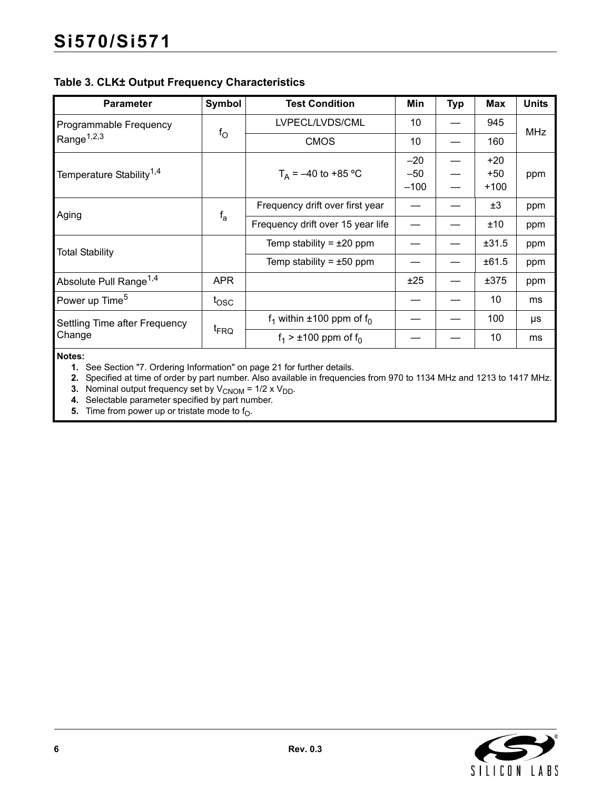#### **Table 3. CLK± Output Frequency Characteristics**

| <b>Parameter</b>                     | <b>Symbol</b> | <b>Test Condition</b>             | Min                      | <b>Typ</b> | Max                      | <b>Units</b> |
|--------------------------------------|---------------|-----------------------------------|--------------------------|------------|--------------------------|--------------|
| Programmable Frequency               |               | LVPECL/LVDS/CML                   | 10                       |            | 945                      | <b>MHz</b>   |
| Range <sup>1,2,3</sup>               | $f_{\rm O}$   | <b>CMOS</b>                       | 10                       |            | 160                      |              |
| Temperature Stability <sup>1,4</sup> |               | $T_A = -40$ to +85 °C             | $-20$<br>$-50$<br>$-100$ |            | $+20$<br>$+50$<br>$+100$ | ppm          |
| Aging                                | $f_a$         | Frequency drift over first year   |                          |            | ±3                       | ppm          |
|                                      |               | Frequency drift over 15 year life |                          |            | ±10                      | ppm          |
| Total Stability                      |               | Temp stability = $\pm 20$ ppm     |                          |            | ±31.5                    | ppm          |
|                                      |               | Temp stability = $\pm 50$ ppm     |                          |            | ±61.5                    | ppm          |
| Absolute Pull Range <sup>1,4</sup>   | <b>APR</b>    |                                   | ±25                      |            | ±375                     | ppm          |
| Power up Time <sup>5</sup>           | tosc          |                                   |                          |            | 10                       | ms           |
| Settling Time after Frequency        |               | $f_1$ within ±100 ppm of $f_0$    |                          |            | 100                      | μs           |
| Change                               | $t_{FRQ}$     | $f_1 > \pm 100$ ppm of $f_0$      |                          |            | 10                       | ms           |

**Notes:**

**1.** See Section ["7. Ordering Information" on page 21](#page-20-0) for further details.

**2.** Specified at time of order by part number. Also available in frequencies from 970 to 1134 MHz and 1213 to 1417 MHz.

**3.** Nominal output frequency set by  $V_{\text{CNOM}} = 1/2 \times V_{\text{DD}}$ .

**4.** Selectable parameter specified by part number.

**5.** Time from power up or tristate mode to  $f_{\text{O}}$ .

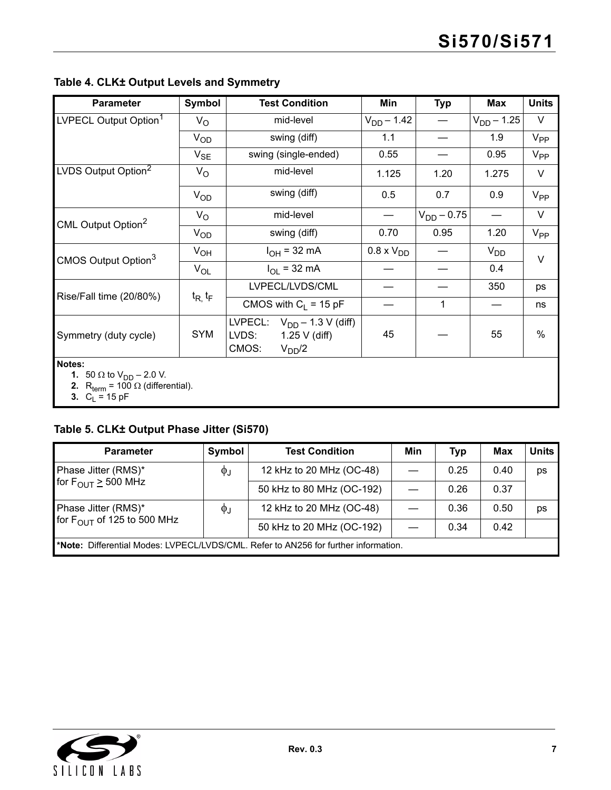| <b>Parameter</b>                                                                                                                            | Symbol          | <b>Test Condition</b>                                                              | Min              | <b>Typ</b>      | Max             | <b>Units</b>    |
|---------------------------------------------------------------------------------------------------------------------------------------------|-----------------|------------------------------------------------------------------------------------|------------------|-----------------|-----------------|-----------------|
| LVPECL Output Option <sup>1</sup>                                                                                                           | $V_{\rm O}$     | mid-level                                                                          | $V_{DD} - 1.42$  |                 | $V_{DD}$ – 1.25 | $\vee$          |
|                                                                                                                                             | $V_{OD}$        | swing (diff)                                                                       | 1.1              | —               | 1.9             | $V_{PP}$        |
|                                                                                                                                             | $V_{SE}$        | swing (single-ended)                                                               | 0.55             |                 | 0.95            | $V_{PP}$        |
| LVDS Output Option <sup>2</sup>                                                                                                             | $V_{\rm O}$     | mid-level                                                                          | 1.125            | 1.20            | 1.275           | V               |
|                                                                                                                                             | V <sub>OD</sub> | swing (diff)                                                                       | 0.5              | 0.7             | 0.9             | V <sub>PP</sub> |
| CML Output Option <sup>2</sup>                                                                                                              | $V_{\rm O}$     | mid-level                                                                          |                  | $V_{DD} - 0.75$ |                 | V               |
|                                                                                                                                             | $V_{OD}$        | swing (diff)                                                                       | 0.70             | 0.95            | 1.20            | $V_{PP}$        |
| CMOS Output Option <sup>3</sup>                                                                                                             | $V_{OH}$        | $I_{OH} = 32 \text{ mA}$                                                           | $0.8 \times VDD$ |                 | $V_{DD}$        | $\vee$          |
|                                                                                                                                             | $V_{OL}$        | $I_{OL}$ = 32 mA                                                                   |                  |                 | 0.4             |                 |
|                                                                                                                                             |                 | LVPECL/LVDS/CML                                                                    |                  |                 | 350             | ps              |
| Rise/Fall time (20/80%)                                                                                                                     | $t_{R, t_F}$    | CMOS with $C_1 = 15$ pF                                                            |                  | 1               |                 | ns              |
| Symmetry (duty cycle)                                                                                                                       | <b>SYM</b>      | LVPECL: $V_{DD}$ – 1.3 V (diff)<br>LVDS:<br>$1.25 V$ (diff)<br>CMOS:<br>$V_{DD}/2$ | 45               |                 | 55              | $\%$            |
| Notes:<br>1. 50 $\Omega$ to $V_{DD}$ – 2.0 V.<br>2. R <sub>term</sub> = 100 $\Omega$ (differential).<br>$\Omega$ $\Omega$ $\Omega$ $\Omega$ |                 |                                                                                    |                  |                 |                 |                 |

<span id="page-6-0"></span>**Table 4. CLK± Output Levels and Symmetry**

**3.**  $C_L = 15 \text{ pF}$ 

#### <span id="page-6-1"></span>**Table 5. CLK± Output Phase Jitter (Si570)**

| <b>Parameter</b>                                                                          | Symbol            | <b>Test Condition</b>     | Min | Typ  | Max  | <b>Units</b> |  |  |
|-------------------------------------------------------------------------------------------|-------------------|---------------------------|-----|------|------|--------------|--|--|
| Phase Jitter (RMS)*                                                                       | $\phi_{\text{J}}$ | 12 kHz to 20 MHz (OC-48)  |     | 0.25 | 0.40 | ps           |  |  |
| for $F_{\text{OUT}} \geq 500 \text{ MHz}$                                                 |                   | 50 kHz to 80 MHz (OC-192) |     | 0.26 | 0.37 |              |  |  |
| Phase Jitter (RMS)*                                                                       | $\phi_{\rm J}$    | 12 kHz to 20 MHz (OC-48)  |     | 0.36 | 0.50 | ps           |  |  |
| for $F_{\text{OUT}}$ of 125 to 500 MHz                                                    |                   | 50 kHz to 20 MHz (OC-192) |     | 0.34 | 0.42 |              |  |  |
| <b>Note:</b> Differential Modes: LVPECL/LVDS/CML. Refer to AN256 for further information. |                   |                           |     |      |      |              |  |  |

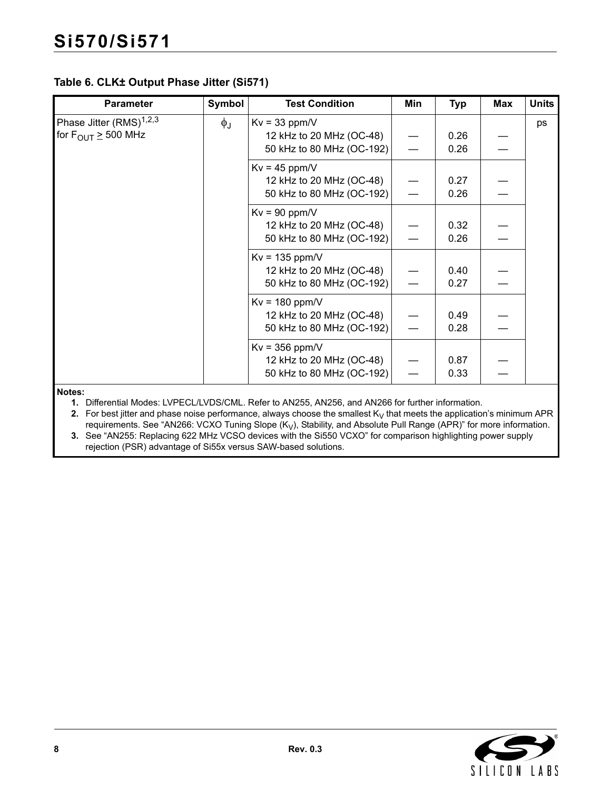#### <span id="page-7-0"></span>**Table 6. CLK± Output Phase Jitter (Si571)**

| <b>Parameter</b>                    | Symbol     | <b>Test Condition</b>     | Min | <b>Typ</b> | <b>Max</b> | <b>Units</b> |
|-------------------------------------|------------|---------------------------|-----|------------|------------|--------------|
| Phase Jitter (RMS) <sup>1,2,3</sup> | $\phi_{J}$ | $Kv = 33$ ppm/V           |     |            |            | ps           |
| for $F_{OUT} \geq 500$ MHz          |            | 12 kHz to 20 MHz (OC-48)  |     | 0.26       |            |              |
|                                     |            | 50 kHz to 80 MHz (OC-192) |     | 0.26       |            |              |
|                                     |            | $Kv = 45$ ppm/V           |     |            |            |              |
|                                     |            | 12 kHz to 20 MHz (OC-48)  |     | 0.27       |            |              |
|                                     |            | 50 kHz to 80 MHz (OC-192) |     | 0.26       |            |              |
|                                     |            | $Kv = 90$ ppm/V           |     |            |            |              |
|                                     |            | 12 kHz to 20 MHz (OC-48)  |     | 0.32       |            |              |
|                                     |            | 50 kHz to 80 MHz (OC-192) |     | 0.26       |            |              |
|                                     |            | $Kv = 135$ ppm/V          |     |            |            |              |
|                                     |            | 12 kHz to 20 MHz (OC-48)  |     | 0.40       |            |              |
|                                     |            | 50 kHz to 80 MHz (OC-192) |     | 0.27       |            |              |
|                                     |            | $Kv = 180$ ppm/V          |     |            |            |              |
|                                     |            | 12 kHz to 20 MHz (OC-48)  |     | 0.49       |            |              |
|                                     |            | 50 kHz to 80 MHz (OC-192) |     | 0.28       |            |              |
|                                     |            | $Kv = 356$ ppm/V          |     |            |            |              |
|                                     |            | 12 kHz to 20 MHz (OC-48)  |     | 0.87       |            |              |
|                                     |            | 50 kHz to 80 MHz (OC-192) |     | 0.33       |            |              |

#### **Notes:**

**1.** Differential Modes: LVPECL/LVDS/CML. Refer to AN255, AN256, and AN266 for further information.

**2.** For best jitter and phase noise performance, always choose the smallest  $K_V$  that meets the application's minimum APR requirements. See "AN266: VCXO Tuning Slope  $(K_V)$ , Stability, and Absolute Pull Range (APR)" for more information.

**3.** See "AN255: Replacing 622 MHz VCSO devices with the Si550 VCXO" for comparison highlighting power supply rejection (PSR) advantage of Si55x versus SAW-based solutions.

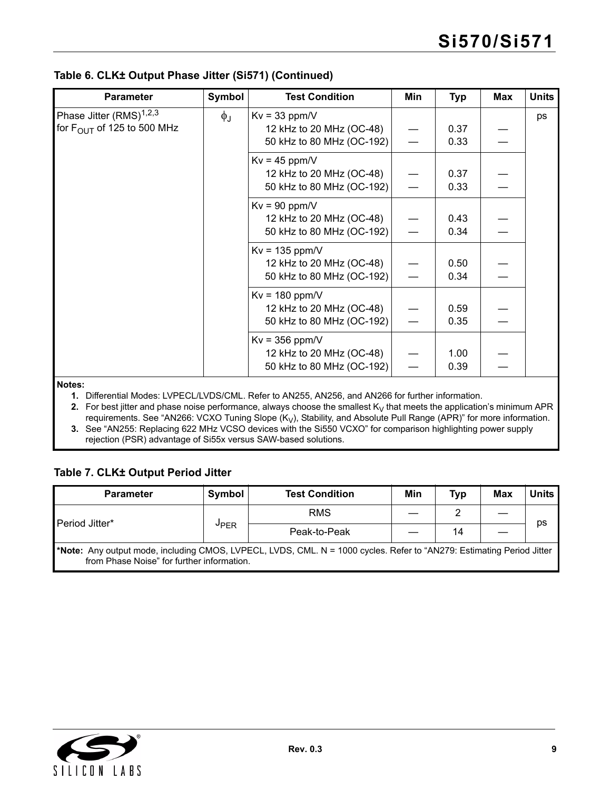#### **Table 6. CLK± Output Phase Jitter (Si571) (Continued)**

| <b>Parameter</b>                       | Symbol         | <b>Test Condition</b>     | Min | <b>Typ</b> | Max | <b>Units</b> |
|----------------------------------------|----------------|---------------------------|-----|------------|-----|--------------|
| Phase Jitter (RMS) <sup>1,2,3</sup>    | $\phi_{\rm J}$ | $Kv = 33$ ppm/V           |     |            |     | ps           |
| for $F_{\text{OUT}}$ of 125 to 500 MHz |                | 12 kHz to 20 MHz (OC-48)  |     | 0.37       |     |              |
|                                        |                | 50 kHz to 80 MHz (OC-192) |     | 0.33       |     |              |
|                                        |                | $Kv = 45$ ppm/V           |     |            |     |              |
|                                        |                | 12 kHz to 20 MHz (OC-48)  |     | 0.37       |     |              |
|                                        |                | 50 kHz to 80 MHz (OC-192) |     | 0.33       |     |              |
|                                        |                | $Kv = 90$ ppm/V           |     |            |     |              |
|                                        |                | 12 kHz to 20 MHz (OC-48)  |     | 0.43       |     |              |
|                                        |                | 50 kHz to 80 MHz (OC-192) |     | 0.34       |     |              |
|                                        |                | $Kv = 135$ ppm/V          |     |            |     |              |
|                                        |                | 12 kHz to 20 MHz (OC-48)  |     | 0.50       |     |              |
|                                        |                | 50 kHz to 80 MHz (OC-192) |     | 0.34       |     |              |
|                                        |                | $Kv = 180$ ppm/V          |     |            |     |              |
|                                        |                | 12 kHz to 20 MHz (OC-48)  |     | 0.59       |     |              |
|                                        |                | 50 kHz to 80 MHz (OC-192) |     | 0.35       |     |              |
|                                        |                | $Kv = 356$ ppm/V          |     |            |     |              |
|                                        |                | 12 kHz to 20 MHz (OC-48)  |     | 1.00       |     |              |
|                                        |                | 50 kHz to 80 MHz (OC-192) |     | 0.39       |     |              |

#### **Notes:**

**1.** Differential Modes: LVPECL/LVDS/CML. Refer to AN255, AN256, and AN266 for further information.

**2.** For best jitter and phase noise performance, always choose the smallest  $K<sub>V</sub>$  that meets the application's minimum APR requirements. See "AN266: VCXO Tuning Slope  $(K_V)$ , Stability, and Absolute Pull Range (APR)" for more information. **3.** See "AN255: Replacing 622 MHz VCSO devices with the Si550 VCXO" for comparison highlighting power supply

rejection (PSR) advantage of Si55x versus SAW-based solutions.

#### <span id="page-8-0"></span>**Table 7. CLK± Output Period Jitter**

| <b>Parameter</b>                                                                                                                                                    | Symbol      | <b>Test Condition</b> | Min | <b>Typ</b> | Max | Units l |  |  |  |
|---------------------------------------------------------------------------------------------------------------------------------------------------------------------|-------------|-----------------------|-----|------------|-----|---------|--|--|--|
| Period Jitter*                                                                                                                                                      |             | <b>RMS</b>            |     | 2          |     |         |  |  |  |
|                                                                                                                                                                     | <b>JPER</b> | Peak-to-Peak          |     | 14         |     | ps      |  |  |  |
| *Note: Any output mode, including CMOS, LVPECL, LVDS, CML. N = 1000 cycles. Refer to "AN279: Estimating Period Jitter<br>from Phase Noise" for further information. |             |                       |     |            |     |         |  |  |  |

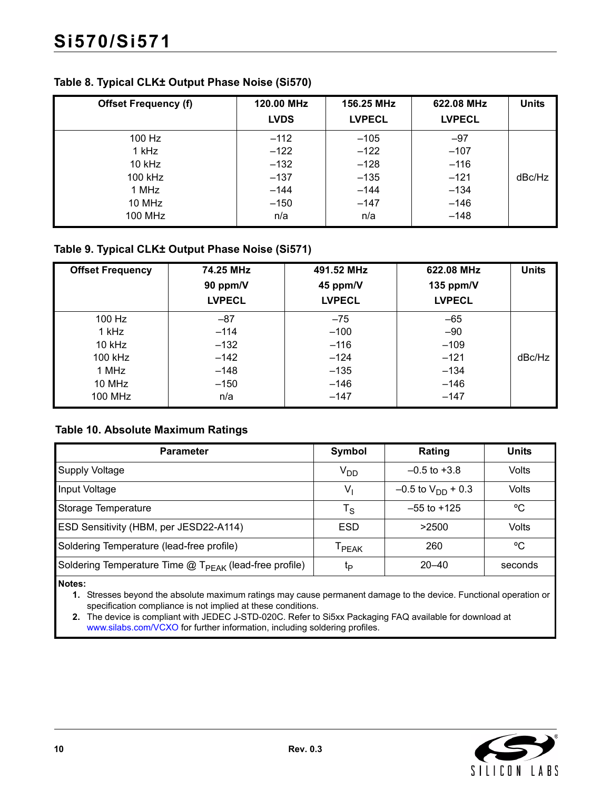| 120.00 MHz<br><b>LVDS</b> | 156.25 MHz<br><b>LVPECL</b> | 622.08 MHz<br><b>LVPECL</b> | <b>Units</b> |
|---------------------------|-----------------------------|-----------------------------|--------------|
| $-112$                    | $-105$                      | $-97$                       |              |
| $-122$                    | $-122$                      | $-107$                      |              |
| $-132$                    | $-128$                      | $-116$                      |              |
| $-137$                    | $-135$                      | $-121$                      | dBc/Hz       |
| $-144$                    | $-144$                      | $-134$                      |              |
| $-150$                    | $-147$                      | $-146$                      |              |
| n/a                       | n/a                         | $-148$                      |              |
|                           |                             |                             |              |

#### **Table 8. Typical CLK± Output Phase Noise (Si570)**

#### **Table 9. Typical CLK± Output Phase Noise (Si571)**

| <b>Offset Frequency</b> | 74.25 MHz<br>90 ppm/V<br><b>LVPECL</b> | 491.52 MHz<br>45 ppm/V<br><b>LVPECL</b> | 622.08 MHz<br>135 ppm/ $V$<br><b>LVPECL</b> | <b>Units</b> |
|-------------------------|----------------------------------------|-----------------------------------------|---------------------------------------------|--------------|
| 100 Hz                  | $-87$                                  | $-75$                                   | $-65$                                       |              |
| 1 kHz                   | $-114$                                 | $-100$                                  | $-90$                                       |              |
| $10$ kHz                | $-132$                                 | $-116$                                  | $-109$                                      |              |
| 100 kHz                 | $-142$                                 | $-124$                                  | $-121$                                      | dBc/Hz       |
| 1 MHz                   | $-148$                                 | $-135$                                  | $-134$                                      |              |
| 10 MHz                  | $-150$                                 | $-146$                                  | $-146$                                      |              |
| 100 MHz                 | n/a                                    | $-147$                                  | $-147$                                      |              |

#### <span id="page-9-0"></span>**Table 10. Absolute Maximum Ratings**

| <b>Parameter</b>                                           | Symbol        | Rating                          | <b>Units</b> |
|------------------------------------------------------------|---------------|---------------------------------|--------------|
| <b>Supply Voltage</b>                                      | $V_{DD}$      | $-0.5$ to $+3.8$                | Volts        |
| Input Voltage                                              | Vı            | $-0.5$ to V <sub>DD</sub> + 0.3 | Volts        |
| Storage Temperature                                        | $T_S$         | $-55$ to $+125$                 | °C           |
| ESD Sensitivity (HBM, per JESD22-A114)                     | <b>ESD</b>    | >2500                           | Volts        |
| Soldering Temperature (lead-free profile)                  | <b>I</b> PEAK | 260                             | °C           |
| Soldering Temperature Time $@T_{PFAK}$ (lead-free profile) | tр            | $20 - 40$                       | seconds      |

**Notes:**

**1.** Stresses beyond the absolute maximum ratings may cause permanent damage to the device. Functional operation or specification compliance is not implied at these conditions.

**2.** [The device is compliant with JEDEC J-STD-020C. Refer to Si5xx Packaging FAQ available for download at](http://www.silabs.com/VCXO)  www.silabs.com/VCXO for further information, including soldering profiles.

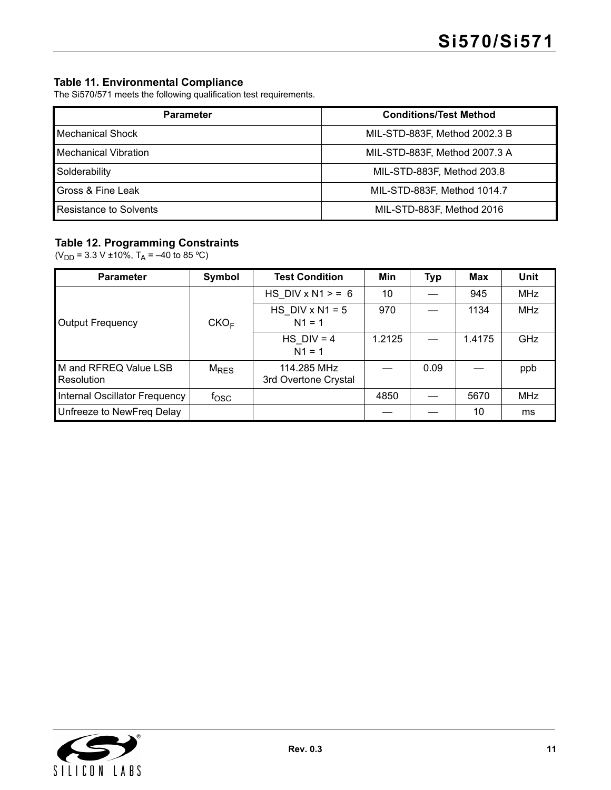#### **Table 11. Environmental Compliance**

The Si570/571 meets the following qualification test requirements.

| <b>Parameter</b>              | <b>Conditions/Test Method</b> |
|-------------------------------|-------------------------------|
| <b>Mechanical Shock</b>       | MIL-STD-883F, Method 2002.3 B |
| <b>Mechanical Vibration</b>   | MIL-STD-883F, Method 2007.3 A |
| Solderability                 | MIL-STD-883F, Method 203.8    |
| <b>Gross &amp; Fine Leak</b>  | MIL-STD-883F, Method 1014.7   |
| <b>Resistance to Solvents</b> | MIL-STD-883F, Method 2016     |

#### <span id="page-10-0"></span>**Table 12. Programming Constraints**

(V<sub>DD</sub> = 3.3 V ±10%, T<sub>A</sub> = –40 to 85 °C)

| <b>Parameter</b>                    | Symbol           | <b>Test Condition</b>               | Min    | <b>Typ</b> | <b>Max</b> | Unit       |
|-------------------------------------|------------------|-------------------------------------|--------|------------|------------|------------|
|                                     |                  | HS DIV $x$ N1 $>$ = 6               | 10     |            | 945        | <b>MHz</b> |
| <b>Output Frequency</b>             | CKO <sub>F</sub> | HS DIV $x$ N1 = 5<br>$N1 = 1$       | 970    |            | 1134       | <b>MHz</b> |
|                                     |                  | HS $DIV = 4$<br>$N1 = 1$            | 1.2125 |            | 1.4175     | <b>GHz</b> |
| M and RFREQ Value LSB<br>Resolution | $M_{RES}$        | 114.285 MHz<br>3rd Overtone Crystal |        | 0.09       |            | ppb        |
| Internal Oscillator Frequency       | $f_{\rm{OSC}}$   |                                     | 4850   |            | 5670       | <b>MHz</b> |
| Unfreeze to NewFreq Delay           |                  |                                     |        |            | 10         | ms         |

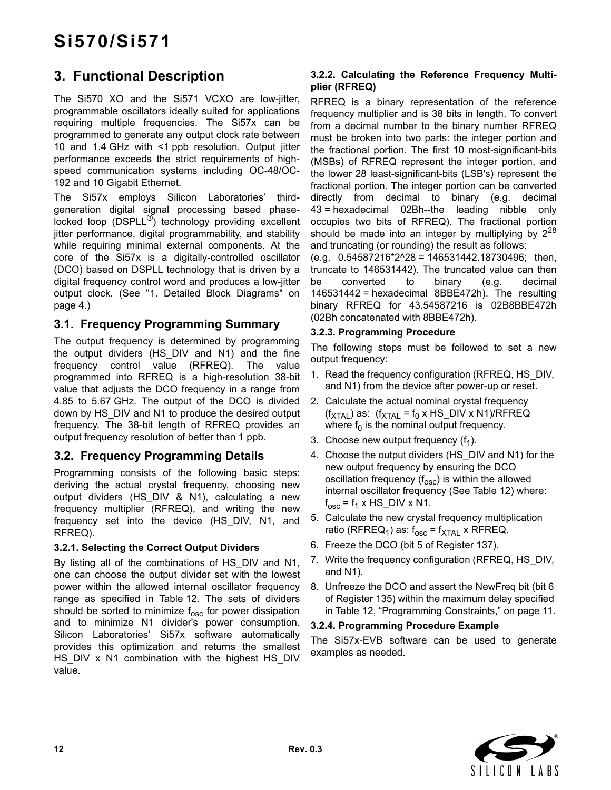### <span id="page-11-0"></span>**3. Functional Description**

The Si570 XO and the Si571 VCXO are low-jitter, programmable oscillators ideally suited for applications requiring multiple frequencies. The Si57x can be programmed to generate any output clock rate between 10 and 1.4 GHz with <1 ppb resolution. Output jitter performance exceeds the strict requirements of highspeed communication systems including OC-48/OC-192 and 10 Gigabit Ethernet.

The Si57x employs Silicon Laboratories' thirdgeneration digital signal processing based phaselocked loop (DSPLL<sup>®</sup>) technology providing excellent jitter performance, digital programmability, and stability while requiring minimal external components. At the core of the Si57x is a digitally-controlled oscillator (DCO) based on DSPLL technology that is driven by a digital frequency control word and produces a low-jitter output clock. (See ["1. Detailed Block Diagrams" on](#page-3-0) [page 4](#page-3-0).)

#### <span id="page-11-1"></span>**3.1. Frequency Programming Summary**

The output frequency is determined by programming the output dividers (HS\_DIV and N1) and the fine frequency control value (RFREQ). The value programmed into RFREQ is a high-resolution 38-bit value that adjusts the DCO frequency in a range from 4.85 to 5.67 GHz. The output of the DCO is divided down by HS\_DIV and N1 to produce the desired output frequency. The 38-bit length of RFREQ provides an output frequency resolution of better than 1 ppb.

#### <span id="page-11-2"></span>**3.2. Frequency Programming Details**

Programming consists of the following basic steps: deriving the actual crystal frequency, choosing new output dividers (HS DIV & N1), calculating a new frequency multiplier (RFREQ), and writing the new frequency set into the device (HS\_DIV, N1, and RFREQ).

#### **3.2.1. Selecting the Correct Output Dividers**

By listing all of the combinations of HS\_DIV and N1, one can choose the output divider set with the lowest power within the allowed internal oscillator frequency range as specified in [Table 12](#page-10-0). The sets of dividers should be sorted to minimize  $f_{\rm osc}$  for power dissipation and to minimize N1 divider's power consumption. Silicon Laboratories' Si57x software automatically provides this optimization and returns the smallest HS\_DIV x N1 combination with the highest HS\_DIV value.

#### **3.2.2. Calculating the Reference Frequency Multiplier (RFREQ)**

RFREQ is a binary representation of the reference frequency multiplier and is 38 bits in length. To convert from a decimal number to the binary number RFREQ must be broken into two parts: the integer portion and the fractional portion. The first 10 most-significant-bits (MSBs) of RFREQ represent the integer portion, and the lower 28 least-significant-bits (LSB's) represent the fractional portion. The integer portion can be converted directly from decimal to binary (e.g. decimal 43 = hexadecimal 02Bh--the leading nibble only occupies two bits of RFREQ). The fractional portion should be made into an integer by multiplying by  $2^{28}$ and truncating (or rounding) the result as follows:

(e.g. 0.54587216\*2^28 = 146531442.18730496; then, truncate to 146531442). The truncated value can then be converted to binary (e.g. decimal 146531442 = hexadecimal 8BBE472h). The resulting binary RFREQ for 43.54587216 is 02B8BBE472h (02Bh concatenated with 8BBE472h).

#### <span id="page-11-3"></span>**3.2.3. Programming Procedure**

The following steps must be followed to set a new output frequency:

- 1. Read the frequency configuration (RFREQ, HS\_DIV, and N1) from the device after power-up or reset.
- 2. Calculate the actual nominal crystal frequency  $(f_{\text{XTAL}})$  as:  $(f_{\text{XTAL}} = f_0 \times \text{HS}$  DIV x N1)/RFREQ where  $f_0$  is the nominal output frequency.
- 3. Choose new output frequency  $(f_1)$ .
- 4. Choose the output dividers (HS\_DIV and N1) for the new output frequency by ensuring the DCO oscillation frequency  $(f<sub>osc</sub>)$  is within the allowed internal oscillator frequency (See [Table 12\)](#page-10-0) where:  $f_{\text{osc}} = f_1 \times HS_$  DIV x N1.
- 5. Calculate the new crystal frequency multiplication ratio (RFREQ<sub>1</sub>) as:  $f_{\text{osc}} = f_{\text{XTAL}}$  x RFREQ.
- 6. Freeze the DCO (bit 5 of Register 137).
- 7. Write the frequency configuration (RFREQ, HS\_DIV, and N1).
- 8. Unfreeze the DCO and assert the NewFreq bit (bit 6 of Register 135) within the maximum delay specified in [Table 12, "Programming Constraints," on page 11](#page-10-0).

#### **3.2.4. Programming Procedure Example**

The Si57x-EVB software can be used to generate examples as needed.

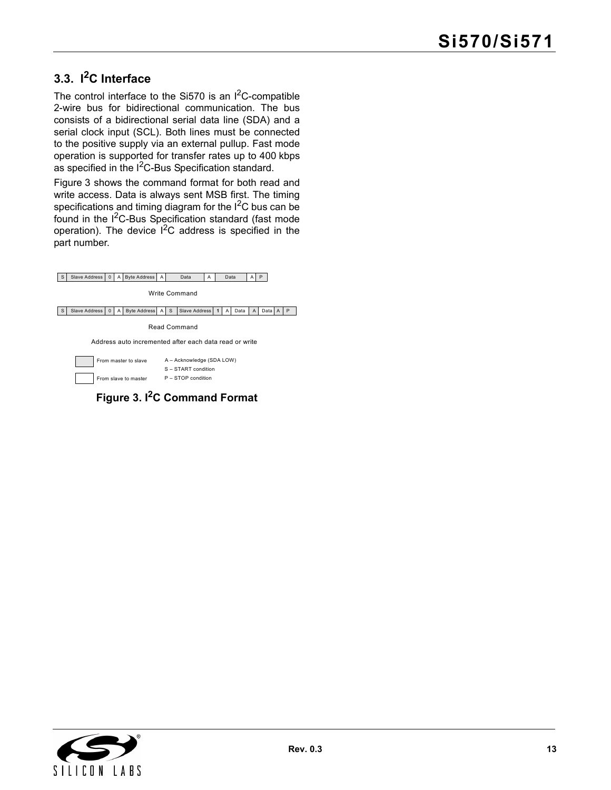### <span id="page-12-0"></span>**3.3. I2C Interface**

The control interface to the Si570 is an  $1<sup>2</sup>C$ -compatible 2-wire bus for bidirectional communication. The bus consists of a bidirectional serial data line (SDA) and a serial clock input (SCL). Both lines must be connected to the positive supply via an external pullup. Fast mode operation is supported for transfer rates up to 400 kbps as specified in the I<sup>2</sup>C-Bus Specification standard.

[Figure 3](#page-12-1) shows the command format for both read and write access. Data is always sent MSB first. The timing specifications and timing diagram for the  $I<sup>2</sup>C$  bus can be found in the I<sup>2</sup>C-Bus Specification standard (fast mode operation). The device  $1^2C$  address is specified in the part number.

<span id="page-12-1"></span>

| S | Slave Address                                                                                                                                    | $\Omega$ | A | <b>Byte Address</b>                                    | A |  | Data                      | Α |  | Data |  | A | P |  |  |
|---|--------------------------------------------------------------------------------------------------------------------------------------------------|----------|---|--------------------------------------------------------|---|--|---------------------------|---|--|------|--|---|---|--|--|
|   | Write Command                                                                                                                                    |          |   |                                                        |   |  |                           |   |  |      |  |   |   |  |  |
|   |                                                                                                                                                  |          |   |                                                        |   |  |                           |   |  |      |  |   |   |  |  |
| S | Slave Address<br><b>Byte Address</b><br>S<br>Slave Address<br>$\mathsf{A}$<br>Data<br>Data A<br>P<br>$\mathbf{0}$<br>A<br>A<br>$\mathbf{1}$<br>A |          |   |                                                        |   |  |                           |   |  |      |  |   |   |  |  |
|   |                                                                                                                                                  |          |   |                                                        |   |  |                           |   |  |      |  |   |   |  |  |
|   | <b>Read Command</b>                                                                                                                              |          |   |                                                        |   |  |                           |   |  |      |  |   |   |  |  |
|   |                                                                                                                                                  |          |   | Address auto incremented after each data read or write |   |  |                           |   |  |      |  |   |   |  |  |
|   |                                                                                                                                                  |          |   |                                                        |   |  |                           |   |  |      |  |   |   |  |  |
|   |                                                                                                                                                  |          |   | From master to slave                                   |   |  | A - Acknowledge (SDA LOW) |   |  |      |  |   |   |  |  |
|   |                                                                                                                                                  |          |   |                                                        |   |  | $S - START$ condition     |   |  |      |  |   |   |  |  |
|   | $P - STOP$ condition<br>From slave to master                                                                                                     |          |   |                                                        |   |  |                           |   |  |      |  |   |   |  |  |
|   |                                                                                                                                                  |          |   |                                                        |   |  |                           |   |  |      |  |   |   |  |  |
|   | Figure 3. I <sup>2</sup> C Command Format                                                                                                        |          |   |                                                        |   |  |                           |   |  |      |  |   |   |  |  |

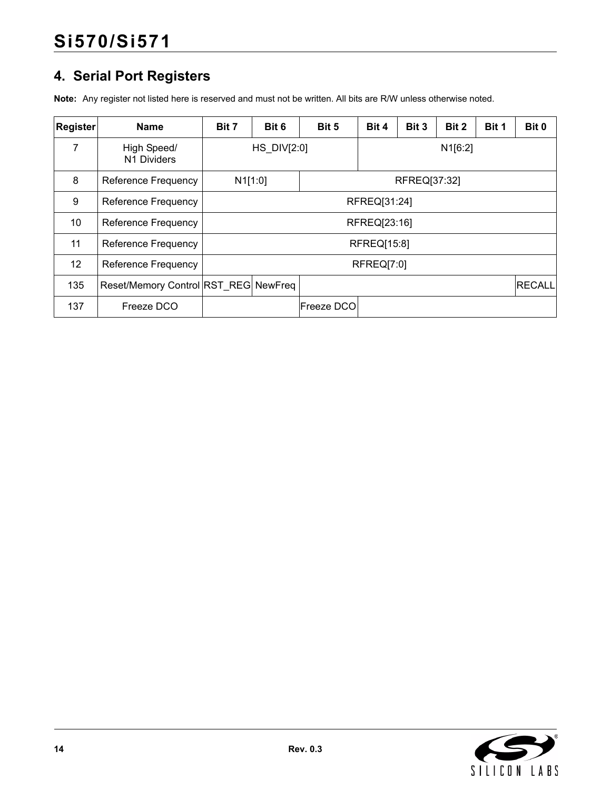### <span id="page-13-0"></span>**4. Serial Port Registers**

**Note:** Any register not listed here is reserved and must not be written. All bits are R/W unless otherwise noted.

| Register          | <b>Name</b>                  | Bit 7   | Bit 6              | Bit 5      | Bit 4        | Bit 3        | Bit 2   | Bit 1 | Bit 0  |
|-------------------|------------------------------|---------|--------------------|------------|--------------|--------------|---------|-------|--------|
| 7                 | High Speed/<br>N1 Dividers   |         | <b>HS DIV[2:0]</b> |            |              |              | N1[6:2] |       |        |
| 8                 | <b>Reference Frequency</b>   | N1[1:0] |                    |            |              | RFREQ[37:32] |         |       |        |
| 9                 | <b>Reference Frequency</b>   |         |                    |            | RFREQ[31:24] |              |         |       |        |
| 10                | Reference Frequency          |         |                    |            | RFREQ[23:16] |              |         |       |        |
| 11                | Reference Frequency          |         |                    |            | RFREQ[15:8]  |              |         |       |        |
| $12 \overline{ }$ | <b>Reference Frequency</b>   |         |                    |            | RFREQ[7:0]   |              |         |       |        |
| 135               | Reset/Memory Control RST REG |         | NewFreg            |            |              |              |         |       | RECALL |
| 137               | Freeze DCO                   |         |                    | Freeze DCO |              |              |         |       |        |

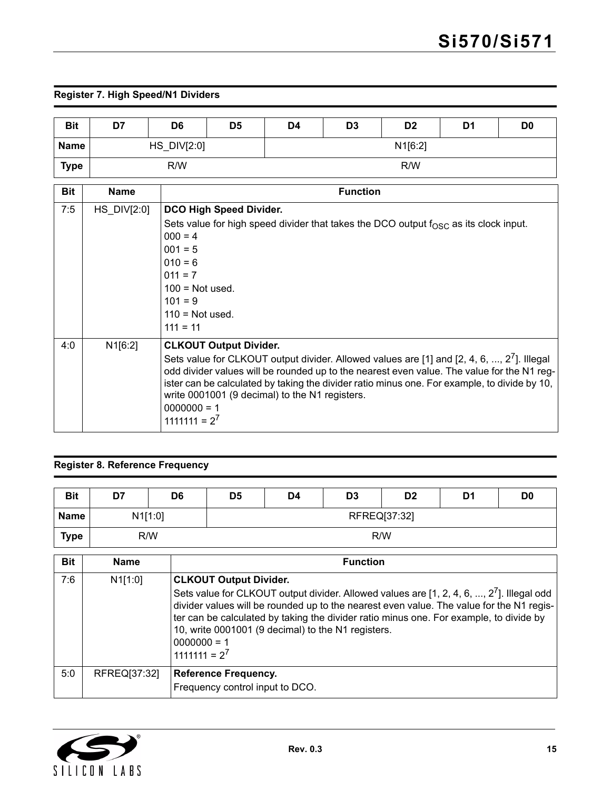#### **Register 7. High Speed/N1 Dividers**

| <b>Bit</b>  | D7            | D <sub>6</sub>                                                                                                          | D <sub>5</sub>                | D <sub>4</sub>                                                                                                                                                                                                                                           | D <sub>3</sub>  | D <sub>2</sub> | D <sub>1</sub> | D <sub>0</sub>                                                                             |  |  |
|-------------|---------------|-------------------------------------------------------------------------------------------------------------------------|-------------------------------|----------------------------------------------------------------------------------------------------------------------------------------------------------------------------------------------------------------------------------------------------------|-----------------|----------------|----------------|--------------------------------------------------------------------------------------------|--|--|
| <b>Name</b> |               | $HS_DIV[2:0]$                                                                                                           |                               | N1[6:2]                                                                                                                                                                                                                                                  |                 |                |                |                                                                                            |  |  |
| <b>Type</b> |               | R/W                                                                                                                     |                               | R/W                                                                                                                                                                                                                                                      |                 |                |                |                                                                                            |  |  |
| <b>Bit</b>  | <b>Name</b>   |                                                                                                                         |                               |                                                                                                                                                                                                                                                          | <b>Function</b> |                |                |                                                                                            |  |  |
| 7:5         | $HS_DIV[2:0]$ | $000 = 4$<br>$001 = 5$<br>$010 = 6$<br>$011 = 7$<br>$100 = Not used$ .<br>$101 = 9$<br>$110 = Not used$ .<br>$111 = 11$ | DCO High Speed Divider.       | Sets value for high speed divider that takes the DCO output $f_{\rm OSC}$ as its clock input.                                                                                                                                                            |                 |                |                |                                                                                            |  |  |
| 4:0         | N1[6:2]       | $0000000 = 1$<br>$1111111 = 2^7$                                                                                        | <b>CLKOUT Output Divider.</b> | Sets value for CLKOUT output divider. Allowed values are [1] and [2, 4, 6, , 2 <sup>'</sup> ]. Illegal<br>ister can be calculated by taking the divider ratio minus one. For example, to divide by 10,<br>write 0001001 (9 decimal) to the N1 registers. |                 |                |                | odd divider values will be rounded up to the nearest even value. The value for the N1 reg- |  |  |

#### **Register 8. Reference Frequency**

| <b>Bit</b>  | D7   | D <sub>6</sub> | D <sub>5</sub> | D4           | D <sub>3</sub>           | D <sub>2</sub> | D <sub>1</sub> | D <sub>0</sub> |  |  |  |
|-------------|------|----------------|----------------|--------------|--------------------------|----------------|----------------|----------------|--|--|--|
| <b>Name</b> |      | N1[1:0]        |                | RFREQ[37:32] |                          |                |                |                |  |  |  |
| Type        |      | R/W            |                | R/W          |                          |                |                |                |  |  |  |
| ___         | $ -$ |                |                |              | $\overline{\phantom{a}}$ |                |                |                |  |  |  |

| <b>Bit</b> | <b>Name</b>  | <b>Function</b>                                                                                                                                                                                                                                                                                                                                                                       |
|------------|--------------|---------------------------------------------------------------------------------------------------------------------------------------------------------------------------------------------------------------------------------------------------------------------------------------------------------------------------------------------------------------------------------------|
| 7:6        | N1[1:0]      | <b>CLKOUT Output Divider.</b>                                                                                                                                                                                                                                                                                                                                                         |
|            |              | Sets value for CLKOUT output divider. Allowed values are [1, 2, 4, 6, , 2 <sup>7</sup> ]. Illegal odd<br>divider values will be rounded up to the nearest even value. The value for the N1 regis-<br>ter can be calculated by taking the divider ratio minus one. For example, to divide by<br>10, write 0001001 (9 decimal) to the N1 registers.<br>$0000000 = 1$<br>$1111111 = 2^7$ |
| 5:0        | RFREQ[37:32] | <b>Reference Frequency.</b>                                                                                                                                                                                                                                                                                                                                                           |
|            |              | Frequency control input to DCO.                                                                                                                                                                                                                                                                                                                                                       |

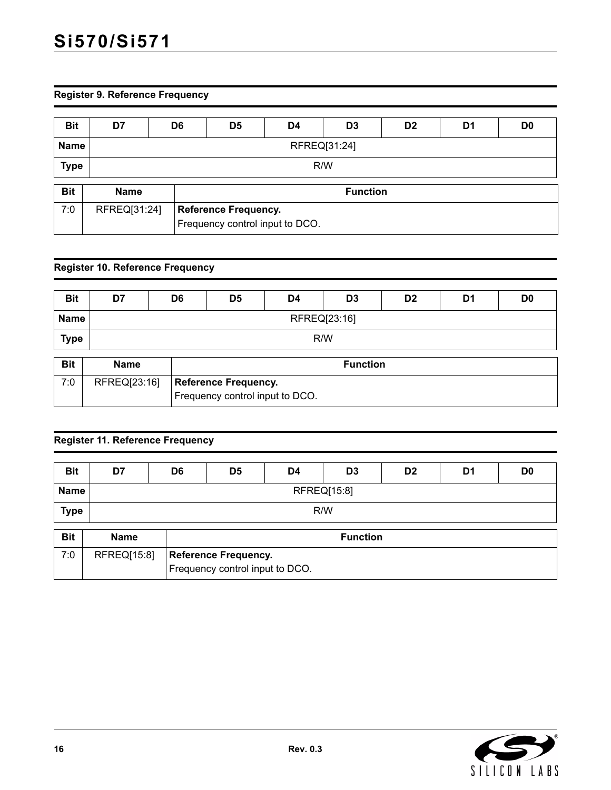#### **Register 9. Reference Frequency**

| <b>Bit</b>  | D7           | D <sub>0</sub><br>D6<br>D <sub>5</sub><br>D <sub>3</sub><br>D <sub>2</sub><br>D1<br>D4 |                                                                |  |  |  |  |  |  |  |  |
|-------------|--------------|----------------------------------------------------------------------------------------|----------------------------------------------------------------|--|--|--|--|--|--|--|--|
| <b>Name</b> |              | RFREQ[31:24]                                                                           |                                                                |  |  |  |  |  |  |  |  |
| <b>Type</b> |              | R/W                                                                                    |                                                                |  |  |  |  |  |  |  |  |
| <b>Bit</b>  | <b>Name</b>  | <b>Function</b>                                                                        |                                                                |  |  |  |  |  |  |  |  |
| 7:0         | RFREQ[31:24] |                                                                                        | <b>Reference Frequency.</b><br>Frequency control input to DCO. |  |  |  |  |  |  |  |  |

#### **Register 10. Reference Frequency**

| <b>Bit</b>  | D7           | D6                          | D <sub>5</sub>                  | D4 | D <sub>3</sub>  | D <sub>2</sub> | D1 | D <sub>0</sub> |  |  |  |
|-------------|--------------|-----------------------------|---------------------------------|----|-----------------|----------------|----|----------------|--|--|--|
| <b>Name</b> |              | RFREQ[23:16]                |                                 |    |                 |                |    |                |  |  |  |
| <b>Type</b> |              | R/W                         |                                 |    |                 |                |    |                |  |  |  |
| <b>Bit</b>  | <b>Name</b>  |                             |                                 |    | <b>Function</b> |                |    |                |  |  |  |
| 7:0         | RFREQ[23:16] | <b>Reference Frequency.</b> |                                 |    |                 |                |    |                |  |  |  |
|             |              |                             | Frequency control input to DCO. |    |                 |                |    |                |  |  |  |

#### **Register 11. Reference Frequency**

| <b>Bit</b>  | D7          | D6                                                                            | D <sub>5</sub> | D4 | D <sub>3</sub> | D <sub>2</sub> | D1 | D <sub>0</sub> |  |  |  |
|-------------|-------------|-------------------------------------------------------------------------------|----------------|----|----------------|----------------|----|----------------|--|--|--|
| <b>Name</b> |             | RFREQ[15:8]                                                                   |                |    |                |                |    |                |  |  |  |
| <b>Type</b> |             | R/W                                                                           |                |    |                |                |    |                |  |  |  |
| <b>Bit</b>  | <b>Name</b> | <b>Function</b>                                                               |                |    |                |                |    |                |  |  |  |
| 7:0         |             | RFREQ[15:8]<br><b>Reference Frequency.</b><br>Frequency control input to DCO. |                |    |                |                |    |                |  |  |  |

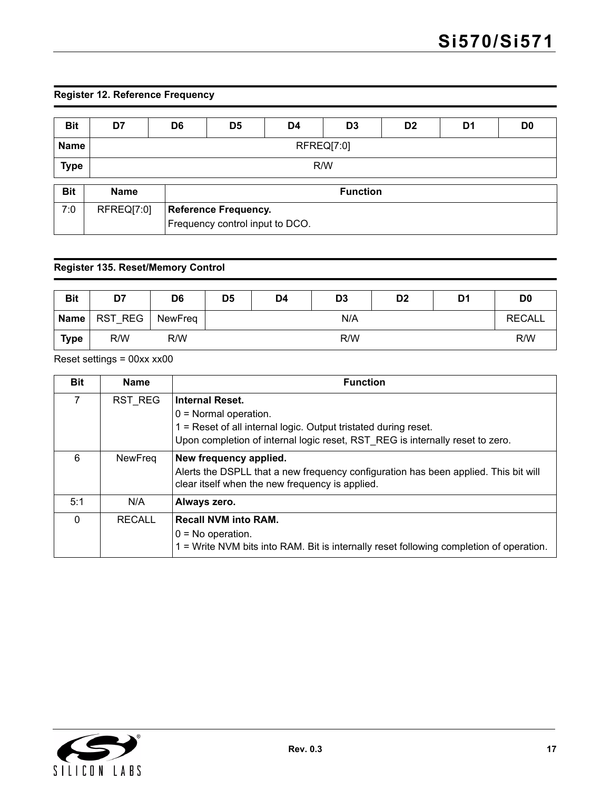#### **Register 12. Reference Frequency**

| <b>Bit</b>  | D7          | D <sub>6</sub> | D <sub>5</sub>                                                 | D4         | D <sub>3</sub>  | D <sub>2</sub> | D1 | D <sub>0</sub> |  |  |  |
|-------------|-------------|----------------|----------------------------------------------------------------|------------|-----------------|----------------|----|----------------|--|--|--|
| <b>Name</b> |             |                |                                                                | RFREQ[7:0] |                 |                |    |                |  |  |  |
| <b>Type</b> |             | R/W            |                                                                |            |                 |                |    |                |  |  |  |
| <b>Bit</b>  | <b>Name</b> |                |                                                                |            | <b>Function</b> |                |    |                |  |  |  |
| 7:0         | RFREQ[7:0]  |                | <b>Reference Frequency.</b><br>Frequency control input to DCO. |            |                 |                |    |                |  |  |  |

#### **Register 135. Reset/Memory Control**

| <b>Bit</b> | D7             | D <sub>6</sub> | D <sub>5</sub> | D4 | D <sub>3</sub> | D <sub>2</sub> | D1 | D <sub>0</sub> |
|------------|----------------|----------------|----------------|----|----------------|----------------|----|----------------|
|            | Name   RST REG | NewFreq        |                |    | N/A            |                |    | RECALL         |
| Type       | R/W            | R/W            |                |    | R/W            |                |    | R/W            |

Reset settings = 00xx xx00

| <b>Bit</b>     | <b>Name</b>    | <b>Function</b>                                                                                                                                                                                       |
|----------------|----------------|-------------------------------------------------------------------------------------------------------------------------------------------------------------------------------------------------------|
| $\overline{7}$ | RST_REG        | <b>Internal Reset.</b><br>$0 =$ Normal operation.<br>1 = Reset of all internal logic. Output tristated during reset.<br>Upon completion of internal logic reset, RST REG is internally reset to zero. |
| 6              | <b>NewFreg</b> | New frequency applied.<br>Alerts the DSPLL that a new frequency configuration has been applied. This bit will<br>clear itself when the new frequency is applied.                                      |
| 5:1            | N/A            | Always zero.                                                                                                                                                                                          |
| $\Omega$       | <b>RECALL</b>  | <b>Recall NVM into RAM.</b><br>$0 = No$ operation.<br>1 = Write NVM bits into RAM. Bit is internally reset following completion of operation.                                                         |

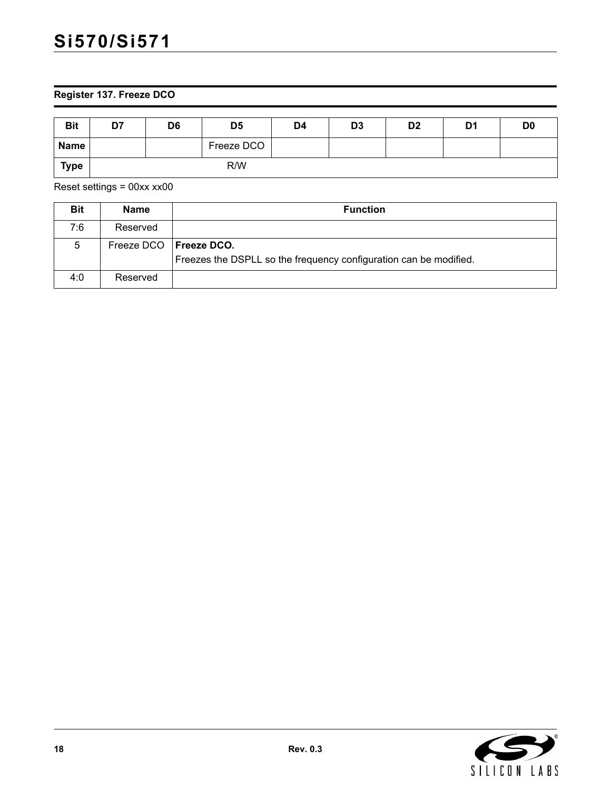#### **Register 137. Freeze DCO**

| <b>Bit</b>  | D7  | D <sub>6</sub> | D <sub>5</sub> | D4 | D <sub>3</sub> | D <sub>2</sub> | D <sub>1</sub> | D <sub>0</sub> |
|-------------|-----|----------------|----------------|----|----------------|----------------|----------------|----------------|
| <b>Name</b> |     |                | Freeze DCO     |    |                |                |                |                |
| <b>Type</b> | R/W |                |                |    |                |                |                |                |

Reset settings = 00xx xx00

| <b>Bit</b> | <b>Name</b>              | <b>Function</b>                                                   |
|------------|--------------------------|-------------------------------------------------------------------|
| 7:6        | Reserved                 |                                                                   |
| 5          | Freeze DCO   Freeze DCO. | Freezes the DSPLL so the frequency configuration can be modified. |
| 4:0        | Reserved                 |                                                                   |

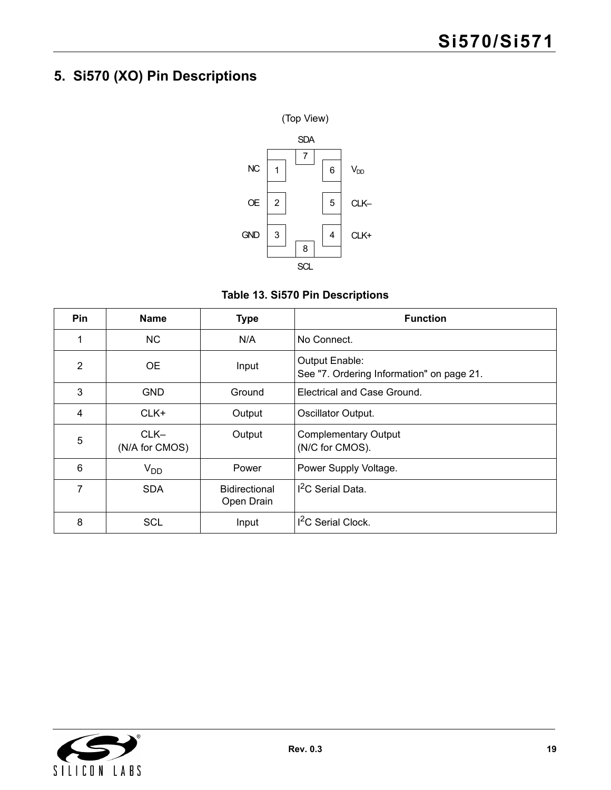### <span id="page-18-0"></span>**5. Si570 (XO) Pin Descriptions**



#### **Table 13. Si570 Pin Descriptions**

| <b>Pin</b>     | <b>Name</b>              | <b>Type</b>                        | <b>Function</b>                                             |
|----------------|--------------------------|------------------------------------|-------------------------------------------------------------|
|                | NC.                      | N/A                                | No Connect.                                                 |
| 2              | <b>OE</b>                | Input                              | Output Enable:<br>See "7. Ordering Information" on page 21. |
| 3              | <b>GND</b>               | Ground                             | Electrical and Case Ground.                                 |
| $\overline{4}$ | CLK+                     | Output                             | Oscillator Output.                                          |
| $\sqrt{5}$     | $CLK-$<br>(N/A for CMOS) | Output                             | <b>Complementary Output</b><br>(N/C for CMOS).              |
| 6              | V <sub>DD</sub>          | Power                              | Power Supply Voltage.                                       |
| 7              | <b>SDA</b>               | <b>Bidirectional</b><br>Open Drain | <sup>2</sup> C Serial Data.                                 |
| 8              | <b>SCL</b>               | Input                              | <sup>2</sup> C Serial Clock.                                |

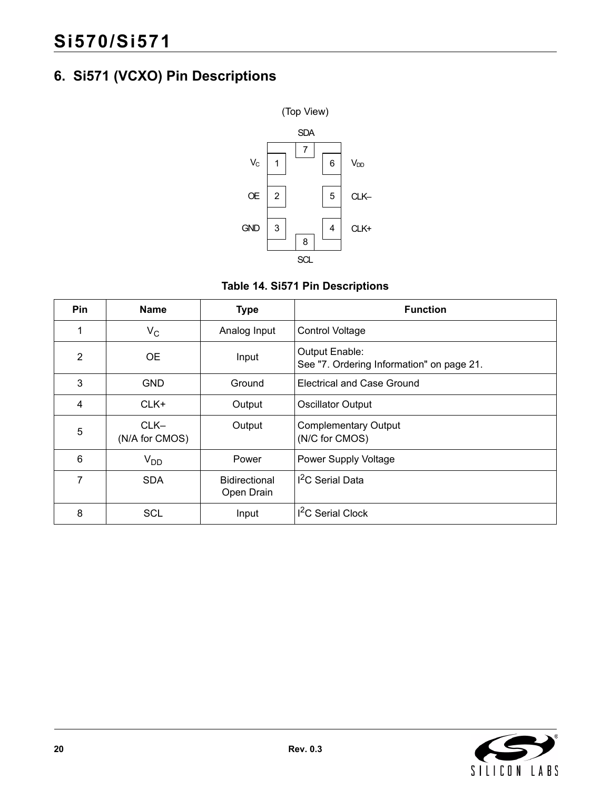### <span id="page-19-0"></span>**6. Si571 (VCXO) Pin Descriptions**





| <b>Pin</b> | <b>Name</b>              | <b>Type</b>                        | <b>Function</b>                                             |
|------------|--------------------------|------------------------------------|-------------------------------------------------------------|
|            | $V_C$                    | Analog Input                       | <b>Control Voltage</b>                                      |
| 2          | <b>OE</b>                | Input                              | Output Enable:<br>See "7. Ordering Information" on page 21. |
| 3          | <b>GND</b>               | Ground                             | Electrical and Case Ground                                  |
| 4          | $CLK+$                   | Output                             | <b>Oscillator Output</b>                                    |
| 5          | $CLK-$<br>(N/A for CMOS) | Output                             | <b>Complementary Output</b><br>(N/C for CMOS)               |
| 6          | V <sub>DD</sub>          | Power                              | Power Supply Voltage                                        |
| 7          | <b>SDA</b>               | <b>Bidirectional</b><br>Open Drain | <sup>2</sup> C Serial Data                                  |
| 8          | <b>SCL</b>               | Input                              | <sup>2</sup> C Serial Clock                                 |

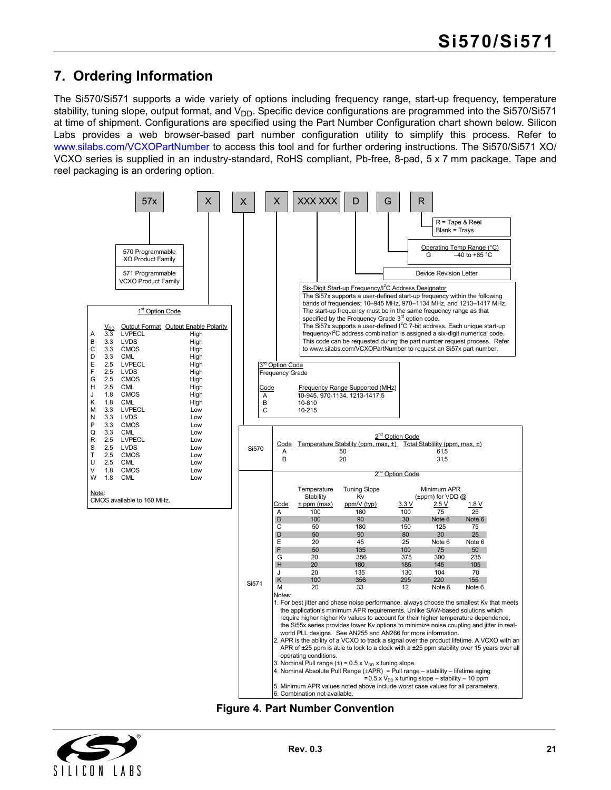### <span id="page-20-0"></span>**7. Ordering Information**

The Si570/Si571 supports a wide variety of options including frequency range, start-up frequency, temperature stability, tuning slope, output format, and  $V_{DD}$ . Specific device configurations are programmed into the Si570/Si571 at time of shipment. Configurations are specified using the Part Number Configuration chart shown below. Silicon Labs provides a web browser-based part number configuration utility to simplify this process. Refer to [www.silabs.com/VCXOPartNumber](http://www.silabs.com/VCXOPartNumber) to access this tool and for further ordering instructions. The Si570/Si571 XO/ VCXO series is supplied in an industry-standard, RoHS compliant, Pb-free, 8-pad, 5 x 7 mm package. Tape and reel packaging is an ordering option.





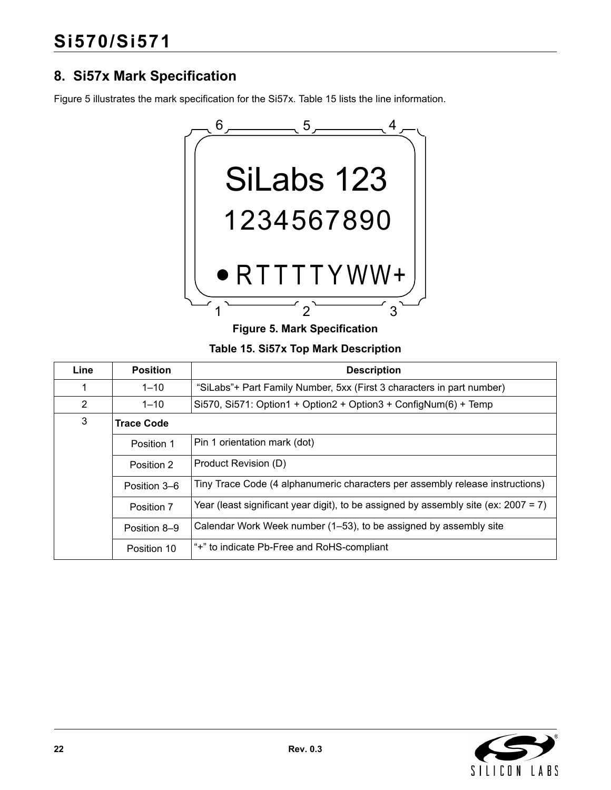### <span id="page-21-0"></span>**8. Si57x Mark Specification**

[Figure 5](#page-21-1) illustrates the mark specification for the Si57x. [Table 15](#page-21-2) lists the line information.



**Figure 5. Mark Specification**

**Table 15. Si57x Top Mark Description**

<span id="page-21-2"></span><span id="page-21-1"></span>

| Line           | <b>Position</b>   | <b>Description</b>                                                                     |
|----------------|-------------------|----------------------------------------------------------------------------------------|
|                | $1 - 10$          | "SiLabs"+ Part Family Number, 5xx (First 3 characters in part number)                  |
| $\overline{2}$ | $1 - 10$          | Si570, Si571: Option1 + Option2 + Option3 + ConfigNum(6) + Temp                        |
| 3              | <b>Trace Code</b> |                                                                                        |
|                | Position 1        | Pin 1 orientation mark (dot)                                                           |
|                | Position 2        | Product Revision (D)                                                                   |
|                | Position 3-6      | Tiny Trace Code (4 alphanumeric characters per assembly release instructions)          |
|                | Position 7        | Year (least significant year digit), to be assigned by assembly site (ex: $2007 = 7$ ) |
|                | Position 8-9      | Calendar Work Week number (1–53), to be assigned by assembly site                      |
|                | Position 10       | "+" to indicate Pb-Free and RoHS-compliant                                             |

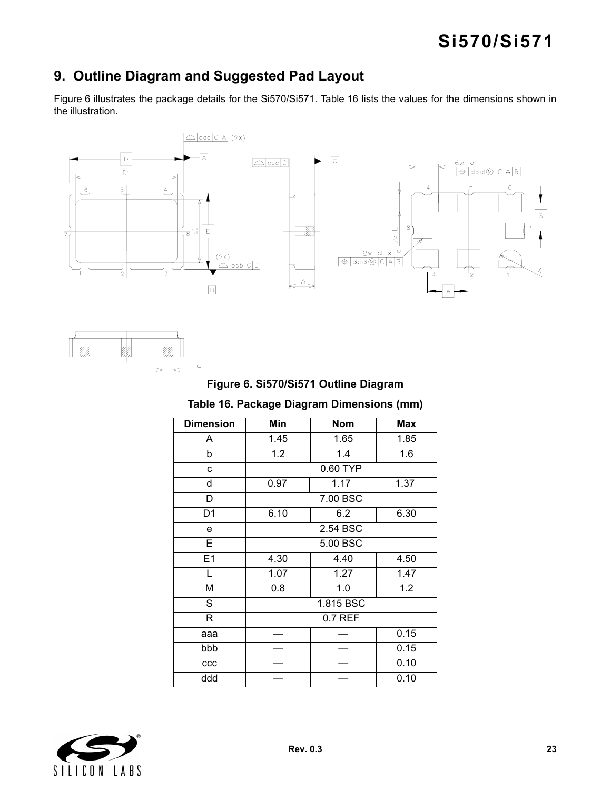### <span id="page-22-0"></span>**9. Outline Diagram and Suggested Pad Layout**

[Figure 6](#page-22-1) illustrates the package details for the Si570/Si571. [Table 16](#page-22-2) lists the values for the dimensions shown in the illustration.



<span id="page-22-2"></span><span id="page-22-1"></span>

#### **Figure 6. Si570/Si571 Outline Diagram**

#### **Table 16. Package Diagram Dimensions (mm)**

| <b>Dimension</b> | Min       | <b>Nom</b> | Max  |
|------------------|-----------|------------|------|
| A                | 1.45      | 1.65       | 1.85 |
| b                | 1.2       | 1.4        | 1.6  |
| C                |           | 0.60 TYP   |      |
| d                | 0.97      | 1.17       | 1.37 |
| D                |           | 7.00 BSC   |      |
| D <sub>1</sub>   | 6.10      | 6.2        | 6.30 |
| е                |           | 2.54 BSC   |      |
| Е                |           | 5.00 BSC   |      |
| E1               | 4.30      | 4.40       | 4.50 |
| L                | 1.07      | 1.27       | 1.47 |
| M                | 0.8       | 1.0        | 1.2  |
| S                | 1.815 BSC |            |      |
| R                | 0.7 REF   |            |      |
| aaa              |           |            | 0.15 |
| bbb              |           |            | 0.15 |
| ccc              |           |            | 0.10 |
| ddd              |           |            | 0.10 |

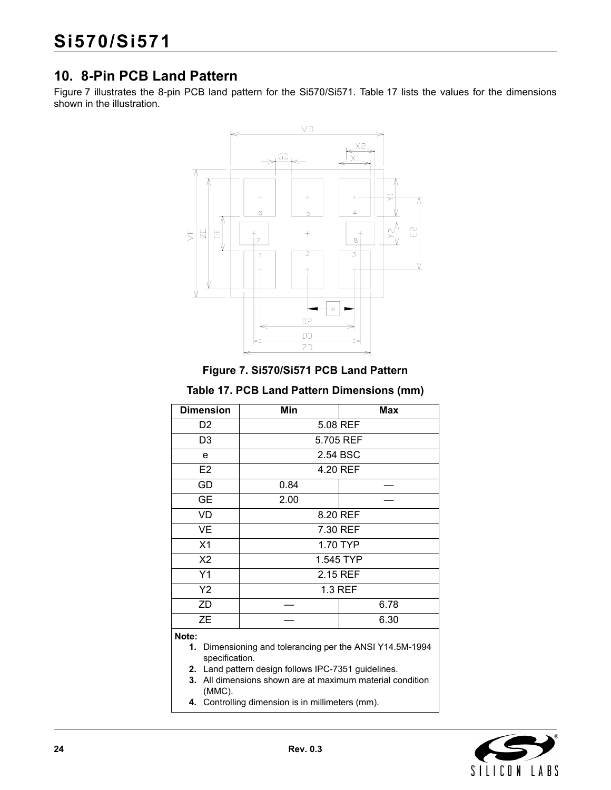### <span id="page-23-0"></span>**10. 8-Pin PCB Land Pattern**

[Figure 7](#page-23-1) illustrates the 8-pin PCB land pattern for the Si570/Si571. [Table 17](#page-23-2) lists the values for the dimensions shown in the illustration.



**Figure 7. Si570/Si571 PCB Land Pattern**

#### **Table 17. PCB Land Pattern Dimensions (mm)**

<span id="page-23-2"></span><span id="page-23-1"></span>

| <b>Dimension</b> | Min       | Max  |  |
|------------------|-----------|------|--|
| D <sub>2</sub>   | 5.08 REF  |      |  |
| D3               | 5.705 REF |      |  |
| e                | 2.54 BSC  |      |  |
| E <sub>2</sub>   | 4.20 REF  |      |  |
| GD               | 0.84      |      |  |
| <b>GE</b>        | 2.00      |      |  |
| VD               | 8.20 REF  |      |  |
| <b>VE</b>        | 7.30 REF  |      |  |
| X <sub>1</sub>   | 1.70 TYP  |      |  |
| X <sub>2</sub>   | 1.545 TYP |      |  |
| Y1               | 2.15 REF  |      |  |
| Y2               | 1.3 REF   |      |  |
| ZD               | 6.78      |      |  |
| ZΕ               |           | 6.30 |  |

#### **Note:**

- **1.** Dimensioning and tolerancing per the ANSI Y14.5M-1994 specification.
- **2.** Land pattern design follows IPC-7351 guidelines.
- **3.** All dimensions shown are at maximum material condition (MMC).
- **4.** Controlling dimension is in millimeters (mm).

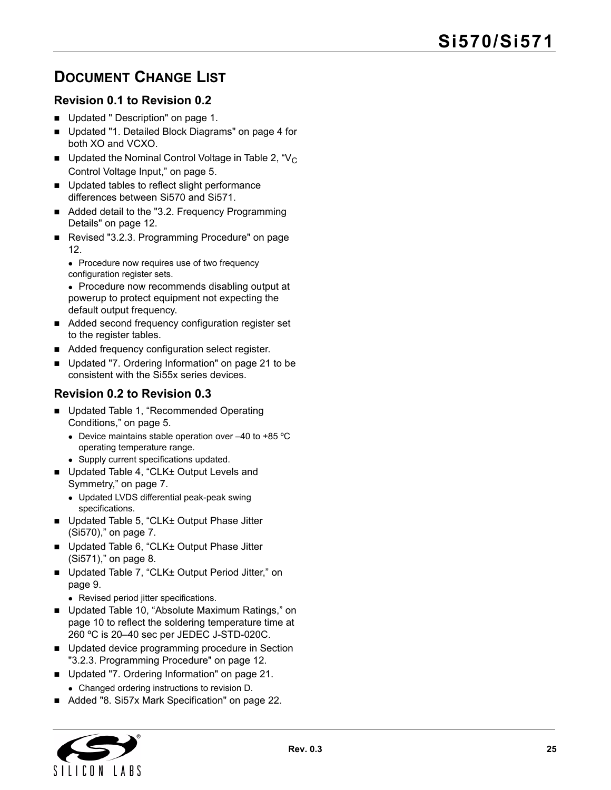### <span id="page-24-0"></span>**DOCUMENT CHANGE LIST**

### **Revision 0.1 to Revision 0.2**

- Updated [" Description" on page 1.](#page-0-0)
- Updated ["1. Detailed Block Diagrams" on page 4](#page-3-0) for both XO and VCXO.
- Updated the Nominal Control Voltage in Table 2, " $V<sub>C</sub>$ [Control Voltage Input," on page 5.](#page-4-2)
- Updated tables to reflect slight performance differences between Si570 and Si571.
- Added detail to the "3.2. Frequency Programming [Details" on page 12.](#page-11-2)
- Revised "3.2.3. Programming Procedure" on page [12.](#page-11-3)
	- Procedure now requires use of two frequency configuration register sets.
	- Procedure now recommends disabling output at powerup to protect equipment not expecting the default output frequency.
- Added second frequency configuration register set to the register tables.
- Added frequency configuration select register.
- Updated ["7. Ordering Information" on page 21](#page-20-0) to be consistent with the Si55x series devices.

#### **Revision 0.2 to Revision 0.3**

- Updated Table 1, "Recommended Operating [Conditions," on page 5.](#page-4-1)
	- Device maintains stable operation over  $-40$  to +85 °C operating temperature range.
	- Supply current specifications updated.
- Updated Table 4, "CLK± Output Levels and [Symmetry," on page 7.](#page-6-0)
	- Updated LVDS differential peak-peak swing specifications.
- Updated Table 5, "CLK± Output Phase Jitter [\(Si570\)," on page 7.](#page-6-1)
- Updated Table 6, "CLK± Output Phase Jitter [\(Si571\)," on page 8.](#page-7-0)
- Updated Table 7, "CLK± Output Period Jitter," on [page 9.](#page-8-0)
	- Revised period jitter specifications.
- Updated Table 10, "Absolute Maximum Ratings," on [page 10](#page-9-0) to reflect the soldering temperature time at 260 ºC is 20–40 sec per JEDEC J-STD-020C.
- **Updated device programming procedure in Section** ["3.2.3. Programming Procedure" on page 12.](#page-11-3)
- Updated ["7. Ordering Information" on page 21](#page-20-0). • Changed ordering instructions to revision D.
- Added ["8. Si57x Mark Specification" on page 22.](#page-21-0)